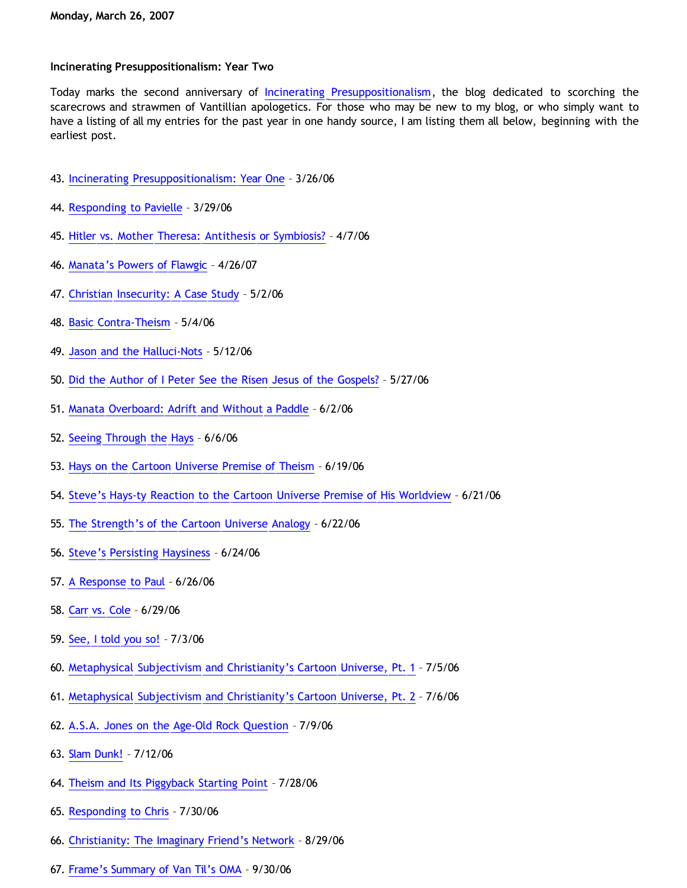## **Incinerating Presuppositionalism: Year Two**

Today marks the second anniversary of [Incinerating Presuppositionalism,](http://bahnsenburner.blogspot.com/) the blog dedicated to scorching the scarecrows and strawmen of Vantillian apologetics. For those who may be new to my blog, or who simply want to have a listing of all my entries for the past year in one handy source, I am listing them all below, beginning with the earliest post.

- 43. [Incinerating Presuppositionalism: Year One](http://bahnsenburner.blogspot.com/2006/03/incinerating-presuppositionalism-year.html) 3/26/06
- 44. [Responding to Pavielle](http://bahnsenburner.blogspot.com/2006/03/responding-to-pavielle.html) 3/29/06
- 45. [Hitler vs. Mother Theresa: Antithesis or Symbiosis?](http://bahnsenburner.blogspot.com/2006/04/hitler-vs-mother-theresa-antithesis-or.html) 4/7/06
- 46. [Manata's Powers of Flawgic](http://bahnsenburner.blogspot.com/2006/04/manatas-powers-of-flawgic.html) 4/26/07
- 47. [Christian Insecurity: A Case Study](http://bahnsenburner.blogspot.com/2006/05/christian-insecurity-case-study.html) 5/2/06
- 48. [Basic Contra-Theism](http://bahnsenburner.blogspot.com/2006/05/basic-contra-theism.html) 5/4/06
- 49. [Jason and the Halluci-Nots](http://bahnsenburner.blogspot.com/2006/05/jason-and-halluci-nots.html) 5/12/06
- 50. [Did the Author of I Peter See the Risen Jesus of the Gospels?](http://bahnsenburner.blogspot.com/2006/05/did-author-of-i-peter-see-risen-jesus.html) 5/27/06
- 51. [Manata Overboard: Adrift and Without a Paddle](http://bahnsenburner.blogspot.com/2006/06/manata-overboard-adrift-and-without.html) 6/2/06
- 52. [Seeing Through the Hays](http://bahnsenburner.blogspot.com/2006/06/seeing-through-hays_06.html) 6/6/06
- 53. [Hays on the Cartoon Universe Premise of Theism](http://bahnsenburner.blogspot.com/2006/06/hays-on-cartoon-universe-premise-of.html) 6/19/06
- 54. [Steve's Hays-ty Reaction to the Cartoon Universe Premise of His Worldview](http://bahnsenburner.blogspot.com/2006/06/steves-hays-ty-reaction-to-cartoon.html) 6/21/06
- 55. [The Strength's of the Cartoon Universe Analogy](http://bahnsenburner.blogspot.com/2006/06/strengths-of-cartoon-universe-analogy.html) 6/22/06
- 56. [Steve's Persisting Haysiness](http://bahnsenburner.blogspot.com/2006/06/steves-persisting-haysiness.html) 6/24/06
- 57. [A Response to Paul](http://bahnsenburner.blogspot.com/2006/06/response-to-paul.html) 6/26/06
- 58. [Carr vs. Cole](http://bahnsenburner.blogspot.com/2006/06/carr-vs-cole.html) 6/29/06
- 59. [See, I told you so!](http://bahnsenburner.blogspot.com/2006/07/see-i-told-you-so.html) 7/3/06
- 60. [Metaphysical Subjectivism and Christianity's Cartoon Universe, Pt. 1](http://bahnsenburner.blogspot.com/2006/07/metaphysical-subjectivism-and.html) 7/5/06
- 61. [Metaphysical Subjectivism and Christianity's Cartoon Universe, Pt. 2](http://bahnsenburner.blogspot.com/2006/07/metaphysical-subjectivism-and_06.html) 7/6/06
- 62. [A.S.A. Jones on the Age-Old Rock Question](http://bahnsenburner.blogspot.com/2006/07/asa-jones-on-age-old-rock-question.html) 7/9/06
- 63. [Slam Dunk!](http://bahnsenburner.blogspot.com/2006/07/slam-dunk.html) 7/12/06
- 64. [Theism and Its Piggyback Starting Point](http://bahnsenburner.blogspot.com/2006/07/theism-and-its-piggyback-starting.html) 7/28/06
- 65. [Responding to Chris](http://bahnsenburner.blogspot.com/2006/07/responding-to-chris.html) 7/30/06
- 66. [Christianity: The Imaginary Friend's Network](http://bahnsenburner.blogspot.com/2006/08/christianity-imaginary-friends-network.html) 8/29/06
- 67. [Frame's Summary of Van Til's OMA](http://bahnsenburner.blogspot.com/2006/09/frames-summary-of-van-tils-oma.html) 9/30/06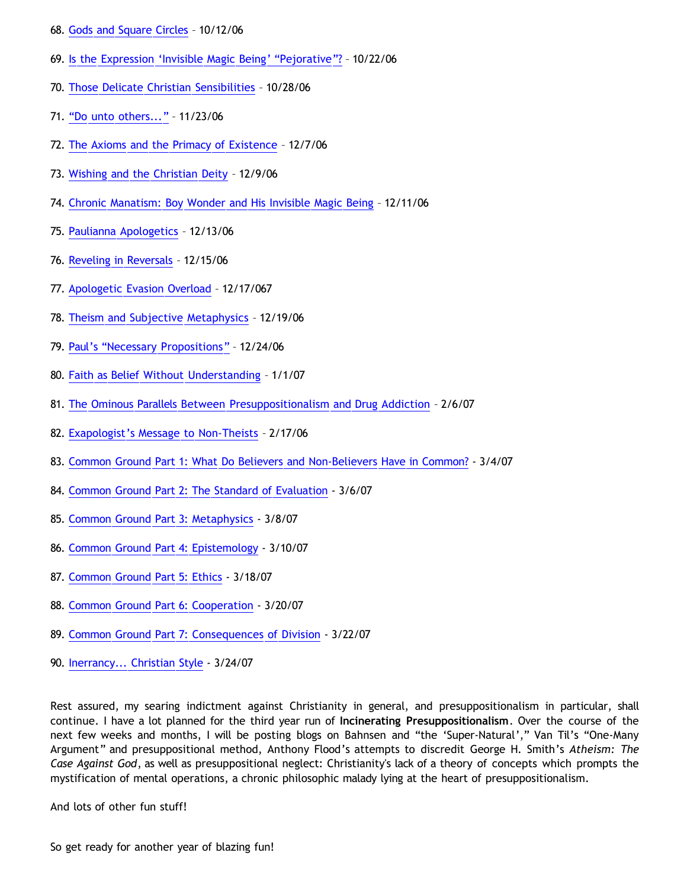- 68. [Gods and Square Circles](http://bahnsenburner.blogspot.com/2006/10/gods-and-square-circles.html) 10/12/06
- 69. [Is the Expression](http://bahnsenburner.blogspot.com/2006/10/is-expression-invisible-magic-being.html) ['Invisible Magic Being'](http://bahnsenburner.blogspot.com/2006/10/is-expression-invisible-magic-being.html) ["Pejorative"?](http://bahnsenburner.blogspot.com/2006/10/is-expression-invisible-magic-being.html) 10/22/06
- 70. [Those Delicate Christian Sensibilities](http://bahnsenburner.blogspot.com/2006/10/those-delicate-christian-sensibilities.html) 10/28/06
- 71. ["Do unto others..."](http://bahnsenburner.blogspot.com/2006/11/do-unto-others_23.html) 11/23/06
- 72. [The Axioms and the Primacy of Existence](http://bahnsenburner.blogspot.com/2006/12/axioms-and-primacy-of-existence.html) 12/7/06
- 73. [Wishing and the Christian Deity](http://bahnsenburner.blogspot.com/2006/12/wishing-and-christian-deity.html) 12/9/06
- 74. [Chronic Manatism: Boy Wonder and His Invisible Magic Being](http://bahnsenburner.blogspot.com/2006/12/chronic-manatism-boy-wonder-and-his.html) 12/11/06
- 75. [Paulianna Apologetics](http://bahnsenburner.blogspot.com/2006/12/paulianna-apologetics.html) 12/13/06
- 76. [Reveling in Reversals](http://bahnsenburner.blogspot.com/2006/12/reveling-in-reversals.html) 12/15/06
- 77. [Apologetic Evasion Overload](http://bahnsenburner.blogspot.com/2006/12/apologetic-evasion-overload.html) 12/17/067
- 78. [Theism and Subjective Metaphysics](http://bahnsenburner.blogspot.com/2006/12/theism-and-subjective-metaphysics.html) 12/19/06
- 79. [Paul's](http://bahnsenburner.blogspot.com/2006/12/pauls-necessary-propositions.html) ["Necessary Propositions"](http://bahnsenburner.blogspot.com/2006/12/pauls-necessary-propositions.html) 12/24/06
- 80. [Faith as Belief Without Understanding](http://bahnsenburner.blogspot.com/2007/01/faith-as-belief-without-understanding.html) 1/1/07
- 81. [The Ominous Parallels Between Presuppositionalism and Drug Addiction](http://bahnsenburner.blogspot.com/2007/02/ominous-parallels-between.html) 2/6/07
- 82. [Exapologist's Message to Non-Theists](http://bahnsenburner.blogspot.com/2007/02/exapologists-message-to-non-theists.html) 2/17/06
- 83. [Common Ground Part 1: What Do Believers and Non-Believers Have in Common?](http://bahnsenburner.blogspot.com/2007/01/common-ground.html) 3/4/07
- 84. [Common Ground Part 2: The Standard of Evaluation](http://bahnsenburner.blogspot.com/2007/03/common-ground-part-2-standard-of.html)  3/6/07
- 85. [Common Ground Part 3: Metaphysics](http://bahnsenburner.blogspot.com/2007/03/common-ground-part-3-metaphysics.html)  3/8/07
- 86. [Common Ground Part 4: Epistemology](http://bahnsenburner.blogspot.com/2007/03/common-ground-part-4-epistemology.html)  3/10/07
- 87. [Common Ground Part 5: Ethics](http://bahnsenburner.blogspot.com/2007/03/common-ground-part-5-ethics.html)  3/18/07
- 88. [Common Ground Part 6: Cooperation](http://bahnsenburner.blogspot.com/2007/03/common-ground-part-6-cooperation.html)  3/20/07
- 89. [Common Ground Part 7: Consequences of Division](http://bahnsenburner.blogspot.com/2007/03/common-ground-part-7-consequences-of.html)  3/22/07
- 90. [Inerrancy... Christian Style](http://bahnsenburner.blogspot.com/2007/03/inerrancy-christian-style.html)  3/24/07

Rest assured, my searing indictment against Christianity in general, and presuppositionalism in particular, shall continue. I have a lot planned for the third year run of **Incinerating Presuppositionalism**. Over the course of the next few weeks and months, I will be posting blogs on Bahnsen and "the 'Super-Natural'," Van Til's "One-Many Argument" and presuppositional method, Anthony Flood's attempts to discredit George H. Smith's *Atheism: The Case Against God*, as well as presuppositional neglect: Christianity's lack of a theory of concepts which prompts the mystification of mental operations, a chronic philosophic malady lying at the heart of presuppositionalism.

And lots of other fun stuff!